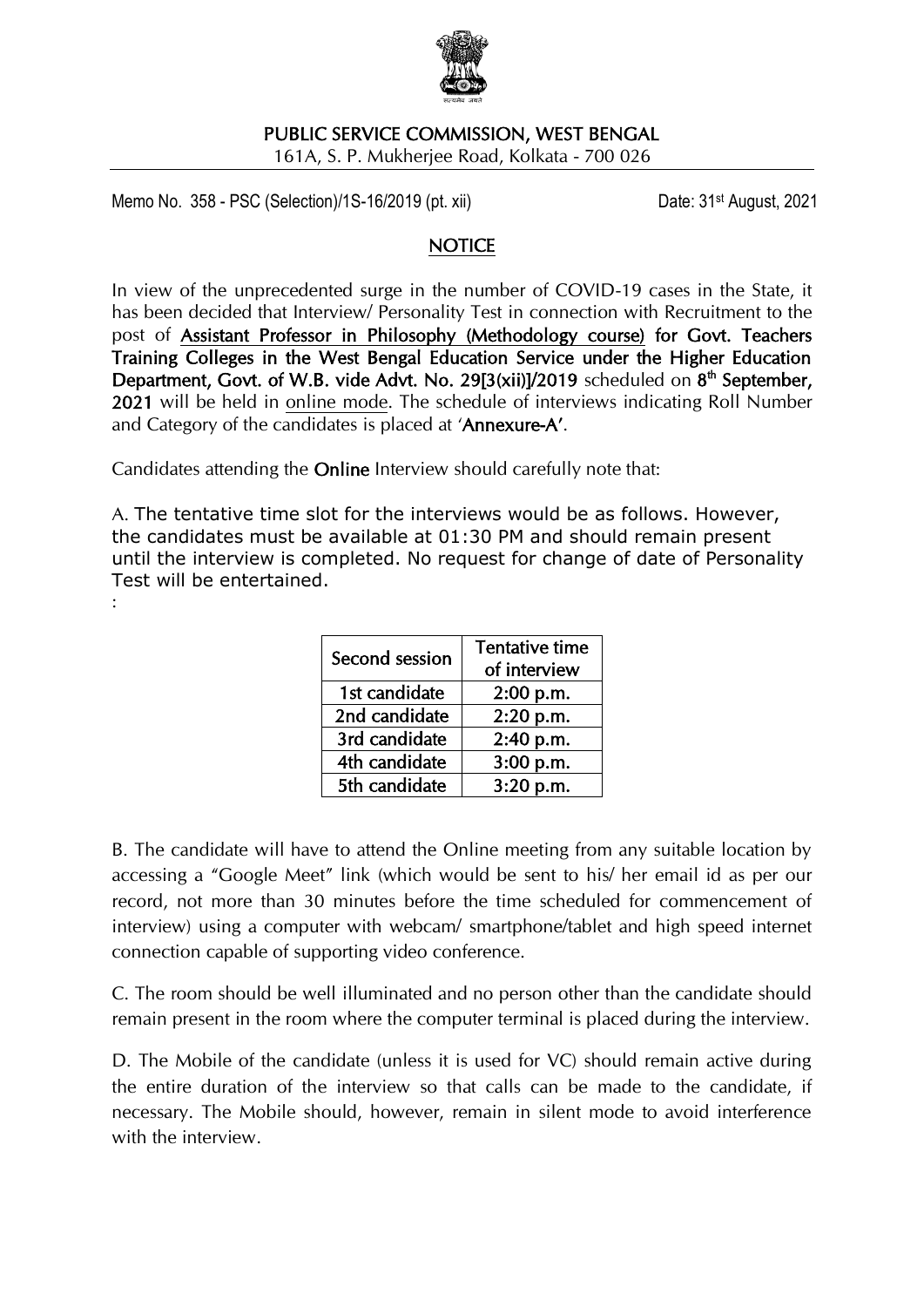

# PUBLIC SERVICE COMMISSION, WEST BENGAL

161A, S. P. Mukherjee Road, Kolkata - 700 026

Memo No. 358 - PSC (Selection)/1S-16/2019 (pt. xii) Date: 31<sup>st</sup> August, 2021

#### **NOTICE**

In view of the unprecedented surge in the number of COVID-19 cases in the State, it has been decided that Interview/ Personality Test in connection with Recruitment to the post of Assistant Professor in Philosophy (Methodology course) for Govt. Teachers Training Colleges in the West Bengal Education Service under the Higher Education Department, Govt. of W.B. vide Advt. No. 29[3(xii)]/2019 scheduled on  $8<sup>th</sup>$  September, 2021 will be held in online mode. The schedule of interviews indicating Roll Number and Category of the candidates is placed at 'Annexure-A'.

Candidates attending the Online Interview should carefully note that:

A. The tentative time slot for the interviews would be as follows. However, the candidates must be available at 01:30 PM and should remain present until the interview is completed. No request for change of date of Personality Test will be entertained. :

| Second session | <b>Tentative time</b> |
|----------------|-----------------------|
|                | of interview          |
| 1st candidate  | 2:00 p.m.             |
| 2nd candidate  | 2:20 p.m.             |
| 3rd candidate  | 2:40 p.m.             |
| 4th candidate  | 3:00 p.m.             |
| 5th candidate  | $3:20$ p.m.           |

B. The candidate will have to attend the Online meeting from any suitable location by accessing a "Google Meet" link (which would be sent to his/ her email id as per our record, not more than 30 minutes before the time scheduled for commencement of interview) using a computer with webcam/ smartphone/tablet and high speed internet connection capable of supporting video conference.

C. The room should be well illuminated and no person other than the candidate should remain present in the room where the computer terminal is placed during the interview.

D. The Mobile of the candidate (unless it is used for VC) should remain active during the entire duration of the interview so that calls can be made to the candidate, if necessary. The Mobile should, however, remain in silent mode to avoid interference with the interview.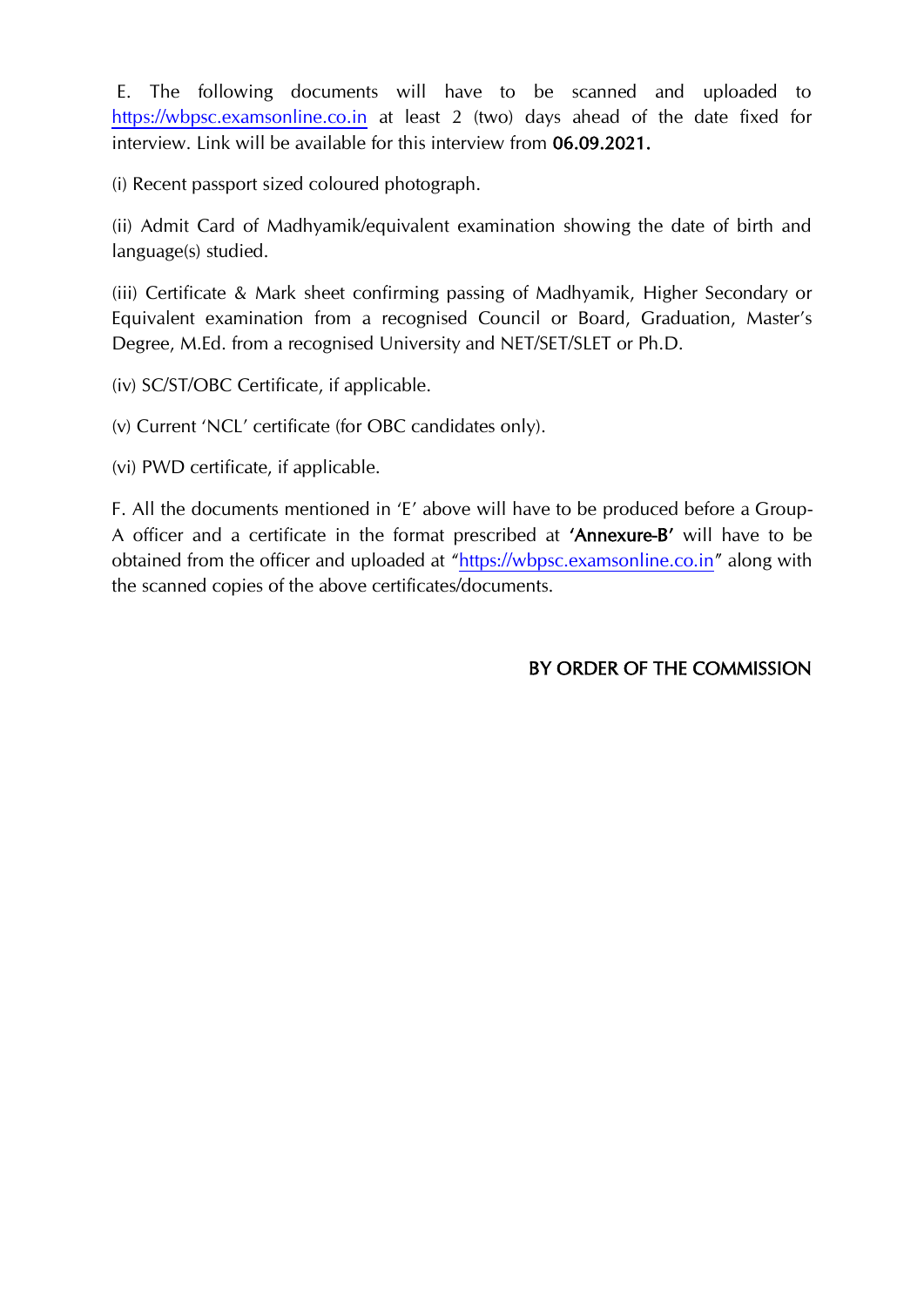E. The following documents will have to be scanned and uploaded to [https://wbpsc.examsonline.co.in](https://wbpsc.examsonline.co.in/) at least 2 (two) days ahead of the date fixed for interview. Link will be available for this interview from 06.09.2021.

(i) Recent passport sized coloured photograph.

(ii) Admit Card of Madhyamik/equivalent examination showing the date of birth and language(s) studied.

(iii) Certificate & Mark sheet confirming passing of Madhyamik, Higher Secondary or Equivalent examination from a recognised Council or Board, Graduation, Master's Degree, M.Ed. from a recognised University and NET/SET/SLET or Ph.D.

(iv) SC/ST/OBC Certificate, if applicable.

(v) Current 'NCL' certificate (for OBC candidates only).

(vi) PWD certificate, if applicable.

F. All the documents mentioned in 'E' above will have to be produced before a Group-A officer and a certificate in the format prescribed at 'Annexure-B' will have to be obtained from the officer and uploaded at "[https://wbpsc.examsonline.co.in](https://wbpsc.examsonline.co.in/)" along with the scanned copies of the above certificates/documents.

## BY ORDER OF THE COMMISSION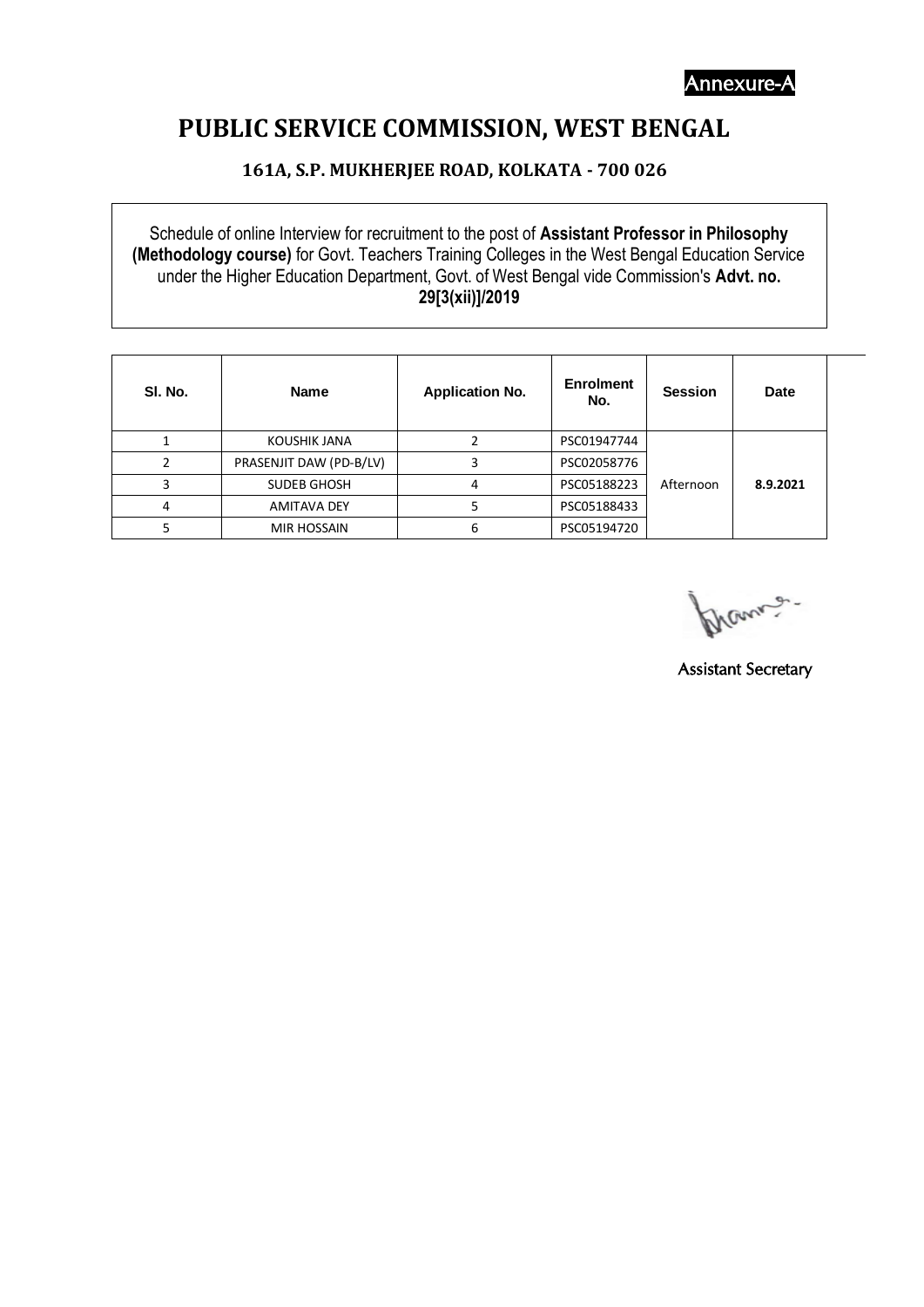Annexure-A

# **PUBLIC SERVICE COMMISSION, WEST BENGAL**

### **161A, S.P. MUKHERJEE ROAD, KOLKATA - 700 026**

Schedule of online Interview for recruitment to the post of **Assistant Professor in Philosophy (Methodology course)** for Govt. Teachers Training Colleges in the West Bengal Education Service under the Higher Education Department, Govt. of West Bengal vide Commission's **Advt. no. 29[3(xii)]/2019**

| SI. No. | <b>Name</b>             | <b>Application No.</b> | <b>Enrolment</b><br>No. | <b>Session</b> | <b>Date</b> |  |
|---------|-------------------------|------------------------|-------------------------|----------------|-------------|--|
|         | KOUSHIK JANA            |                        | PSC01947744             |                |             |  |
|         | PRASENJIT DAW (PD-B/LV) |                        | PSC02058776             |                |             |  |
|         | SUDEB GHOSH             | 4                      | PSC05188223             | Afternoon      | 8.9.2021    |  |
| 4       | <b>AMITAVA DEY</b>      |                        | PSC05188433             |                |             |  |
|         | MIR HOSSAIN             | 6                      | PSC05194720             |                |             |  |

Mann .

Assistant Secretary